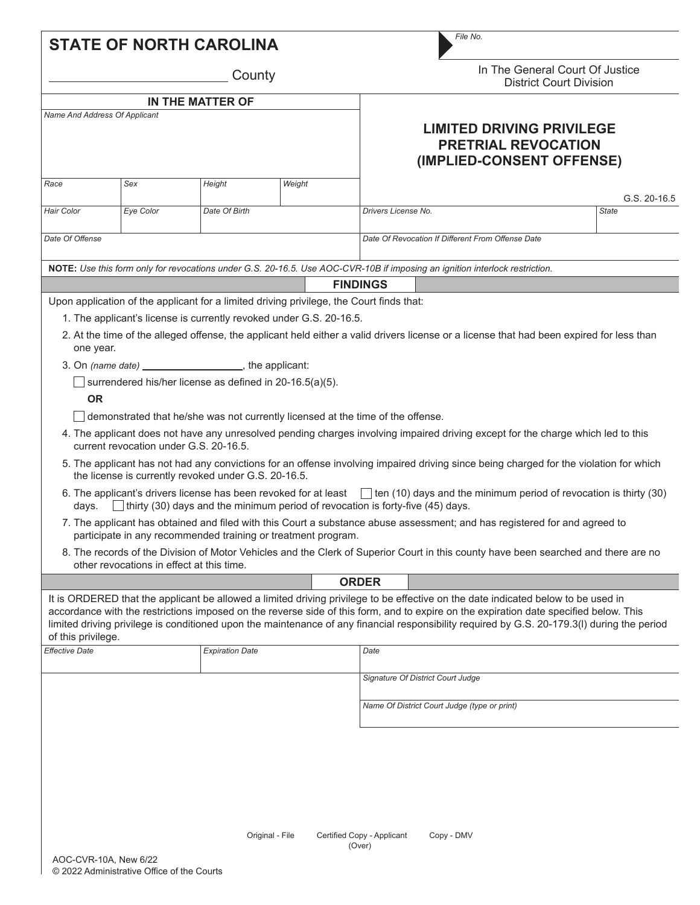|                    | <b>STATE OF NORTH CAROLINA</b>                                                           |                        |                 | File No.                                                                                                                                                                                                                                                                   |                                                                                                                                              |  |
|--------------------|------------------------------------------------------------------------------------------|------------------------|-----------------|----------------------------------------------------------------------------------------------------------------------------------------------------------------------------------------------------------------------------------------------------------------------------|----------------------------------------------------------------------------------------------------------------------------------------------|--|
|                    |                                                                                          | County                 |                 | In The General Court Of Justice<br><b>District Court Division</b>                                                                                                                                                                                                          |                                                                                                                                              |  |
|                    |                                                                                          | IN THE MATTER OF       |                 |                                                                                                                                                                                                                                                                            |                                                                                                                                              |  |
|                    | Name And Address Of Applicant                                                            |                        |                 | <b>LIMITED DRIVING PRIVILEGE</b><br><b>PRETRIAL REVOCATION</b><br>(IMPLIED-CONSENT OFFENSE)                                                                                                                                                                                |                                                                                                                                              |  |
| Race               | Sex                                                                                      | Height                 | Weight          |                                                                                                                                                                                                                                                                            | $G.S. 20-16.5$                                                                                                                               |  |
| Hair Color         | Eye Color                                                                                | Date Of Birth          |                 | Drivers License No.                                                                                                                                                                                                                                                        | <b>State</b>                                                                                                                                 |  |
| Date Of Offense    |                                                                                          |                        |                 | Date Of Revocation If Different From Offense Date                                                                                                                                                                                                                          |                                                                                                                                              |  |
|                    |                                                                                          |                        |                 |                                                                                                                                                                                                                                                                            | NOTE: Use this form only for revocations under G.S. 20-16.5. Use AOC-CVR-10B if imposing an ignition interlock restriction.                  |  |
|                    |                                                                                          |                        |                 | <b>FINDINGS</b>                                                                                                                                                                                                                                                            |                                                                                                                                              |  |
|                    | Upon application of the applicant for a limited driving privilege, the Court finds that: |                        |                 |                                                                                                                                                                                                                                                                            |                                                                                                                                              |  |
|                    | 1. The applicant's license is currently revoked under G.S. 20-16.5.                      |                        |                 |                                                                                                                                                                                                                                                                            |                                                                                                                                              |  |
| one year.          |                                                                                          |                        |                 | 2. At the time of the alleged offense, the applicant held either a valid drivers license or a license that had been expired for less than                                                                                                                                  |                                                                                                                                              |  |
|                    | 3. On (name date) __________________________, the applicant:                             |                        |                 |                                                                                                                                                                                                                                                                            |                                                                                                                                              |  |
|                    | surrendered his/her license as defined in 20-16.5(a)(5).                                 |                        |                 |                                                                                                                                                                                                                                                                            |                                                                                                                                              |  |
| <b>OR</b>          |                                                                                          |                        |                 |                                                                                                                                                                                                                                                                            |                                                                                                                                              |  |
|                    |                                                                                          |                        |                 | demonstrated that he/she was not currently licensed at the time of the offense.                                                                                                                                                                                            |                                                                                                                                              |  |
|                    | current revocation under G.S. 20-16.5.                                                   |                        |                 | 4. The applicant does not have any unresolved pending charges involving impaired driving except for the charge which led to this                                                                                                                                           |                                                                                                                                              |  |
|                    | the license is currently revoked under G.S. 20-16.5.                                     |                        |                 | 5. The applicant has not had any convictions for an offense involving impaired driving since being charged for the violation for which                                                                                                                                     |                                                                                                                                              |  |
| days.              |                                                                                          |                        |                 | Thirty (30) days and the minimum period of revocation is forty-five (45) days.                                                                                                                                                                                             | 6. The applicant's drivers license has been revoked for at least   ten (10) days and the minimum period of revocation is thirty (30)         |  |
|                    | participate in any recommended training or treatment program.                            |                        |                 | 7. The applicant has obtained and filed with this Court a substance abuse assessment; and has registered for and agreed to                                                                                                                                                 |                                                                                                                                              |  |
|                    | other revocations in effect at this time.                                                |                        |                 | 8. The records of the Division of Motor Vehicles and the Clerk of Superior Court in this county have been searched and there are no                                                                                                                                        |                                                                                                                                              |  |
|                    |                                                                                          |                        |                 | <b>ORDER</b>                                                                                                                                                                                                                                                               |                                                                                                                                              |  |
| of this privilege. |                                                                                          |                        |                 | It is ORDERED that the applicant be allowed a limited driving privilege to be effective on the date indicated below to be used in<br>accordance with the restrictions imposed on the reverse side of this form, and to expire on the expiration date specified below. This | limited driving privilege is conditioned upon the maintenance of any financial responsibility required by G.S. 20-179.3(I) during the period |  |
| Effective Date     |                                                                                          | <b>Expiration Date</b> |                 | Date                                                                                                                                                                                                                                                                       |                                                                                                                                              |  |
|                    |                                                                                          |                        |                 | Signature Of District Court Judge                                                                                                                                                                                                                                          |                                                                                                                                              |  |
|                    |                                                                                          |                        |                 | Name Of District Court Judge (type or print)                                                                                                                                                                                                                               |                                                                                                                                              |  |
|                    |                                                                                          |                        |                 |                                                                                                                                                                                                                                                                            |                                                                                                                                              |  |
|                    |                                                                                          |                        | Original - File | Certified Copy - Applicant<br>Copy - DMV                                                                                                                                                                                                                                   |                                                                                                                                              |  |
|                    | $A \cap C$ $C \cup D$ $A \cap A$ $A \cup C \cup C$                                       |                        |                 | (Over)                                                                                                                                                                                                                                                                     |                                                                                                                                              |  |